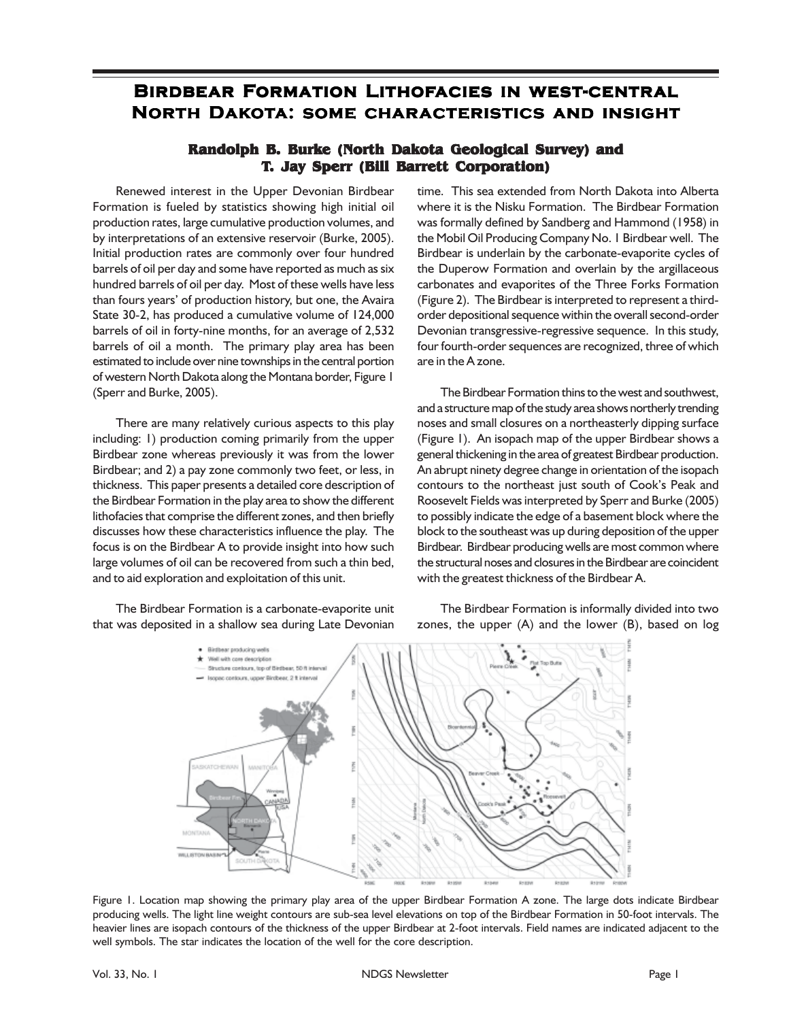## **Birdbear Formation Lithofacies in west-central North Dakota: some characteristics and insight**

## **Randolph B. Burke (North Dakota Geological Survey) and T. Jay Sperr (Bill Barrett Corporation)**

Renewed interest in the Upper Devonian Birdbear Formation is fueled by statistics showing high initial oil production rates, large cumulative production volumes, and by interpretations of an extensive reservoir (Burke, 2005). Initial production rates are commonly over four hundred barrels of oil per day and some have reported as much as six hundred barrels of oil per day. Most of these wells have less than fours years' of production history, but one, the Avaira State 30-2, has produced a cumulative volume of 124,000 barrels of oil in forty-nine months, for an average of 2,532 barrels of oil a month. The primary play area has been estimated to include over nine townships in the central portion of western North Dakota along the Montana border, Figure 1 (Sperr and Burke, 2005).

There are many relatively curious aspects to this play including: 1) production coming primarily from the upper Birdbear zone whereas previously it was from the lower Birdbear; and 2) a pay zone commonly two feet, or less, in thickness. This paper presents a detailed core description of the Birdbear Formation in the play area to show the different lithofacies that comprise the different zones, and then briefly discusses how these characteristics influence the play. The focus is on the Birdbear A to provide insight into how such large volumes of oil can be recovered from such a thin bed, and to aid exploration and exploitation of this unit.

The Birdbear Formation is a carbonate-evaporite unit that was deposited in a shallow sea during Late Devonian

time. This sea extended from North Dakota into Alberta where it is the Nisku Formation. The Birdbear Formation was formally defined by Sandberg and Hammond (1958) in the Mobil Oil Producing Company No. 1 Birdbear well. The Birdbear is underlain by the carbonate-evaporite cycles of the Duperow Formation and overlain by the argillaceous carbonates and evaporites of the Three Forks Formation (Figure 2). The Birdbear is interpreted to represent a thirdorder depositional sequence within the overall second-order Devonian transgressive-regressive sequence. In this study, four fourth-order sequences are recognized, three of which are in the A zone.

The Birdbear Formation thins to the west and southwest, and a structure map of the study area shows northerly trending noses and small closures on a northeasterly dipping surface (Figure 1). An isopach map of the upper Birdbear shows a general thickening in the area of greatest Birdbear production. An abrupt ninety degree change in orientation of the isopach contours to the northeast just south of Cook's Peak and Roosevelt Fields was interpreted by Sperr and Burke (2005) to possibly indicate the edge of a basement block where the block to the southeast was up during deposition of the upper Birdbear. Birdbear producing wells are most common where the structural noses and closures in the Birdbear are coincident with the greatest thickness of the Birdbear A.

The Birdbear Formation is informally divided into two zones, the upper (A) and the lower (B), based on log



Figure 1. Location map showing the primary play area of the upper Birdbear Formation A zone. The large dots indicate Birdbear producing wells. The light line weight contours are sub-sea level elevations on top of the Birdbear Formation in 50-foot intervals. The heavier lines are isopach contours of the thickness of the upper Birdbear at 2-foot intervals. Field names are indicated adjacent to the well symbols. The star indicates the location of the well for the core description.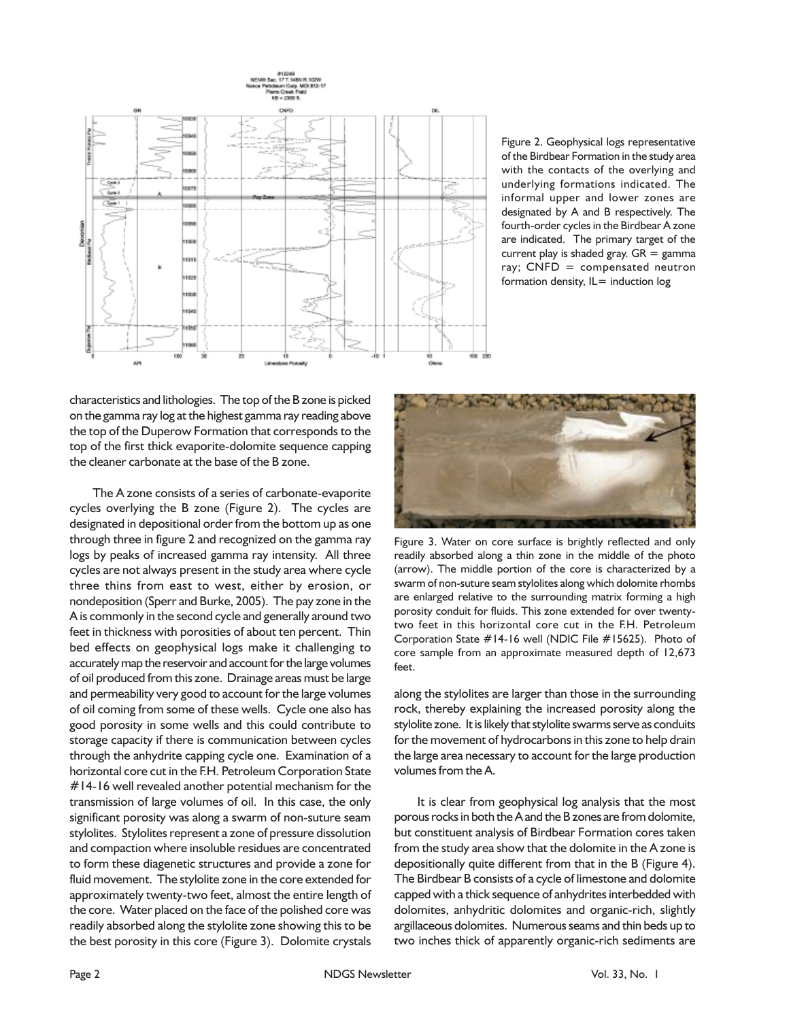

Figure 2. Geophysical logs representative of the Birdbear Formation in the study area with the contacts of the overlying and underlying formations indicated. The informal upper and lower zones are designated by A and B respectively. The fourth-order cycles in the Birdbear A zone are indicated. The primary target of the current play is shaded gray.  $GR =$  gamma ray; CNFD = compensated neutron formation density,  $IL=$  induction  $log$ 

characteristics and lithologies. The top of the B zone is picked on the gamma ray log at the highest gamma ray reading above the top of the Duperow Formation that corresponds to the top of the first thick evaporite-dolomite sequence capping the cleaner carbonate at the base of the B zone.

The A zone consists of a series of carbonate-evaporite cycles overlying the B zone (Figure 2). The cycles are designated in depositional order from the bottom up as one through three in figure 2 and recognized on the gamma ray logs by peaks of increased gamma ray intensity. All three cycles are not always present in the study area where cycle three thins from east to west, either by erosion, or nondeposition (Sperr and Burke, 2005). The pay zone in the A is commonly in the second cycle and generally around two feet in thickness with porosities of about ten percent. Thin bed effects on geophysical logs make it challenging to accurately map the reservoir and account for the large volumes of oil produced from this zone. Drainage areas must be large and permeability very good to account for the large volumes of oil coming from some of these wells. Cycle one also has good porosity in some wells and this could contribute to storage capacity if there is communication between cycles through the anhydrite capping cycle one. Examination of a horizontal core cut in the F.H. Petroleum Corporation State #14-16 well revealed another potential mechanism for the transmission of large volumes of oil. In this case, the only significant porosity was along a swarm of non-suture seam stylolites. Stylolites represent a zone of pressure dissolution and compaction where insoluble residues are concentrated to form these diagenetic structures and provide a zone for fluid movement. The stylolite zone in the core extended for approximately twenty-two feet, almost the entire length of the core. Water placed on the face of the polished core was readily absorbed along the stylolite zone showing this to be the best porosity in this core (Figure 3). Dolomite crystals



Figure 3. Water on core surface is brightly reflected and only readily absorbed along a thin zone in the middle of the photo (arrow). The middle portion of the core is characterized by a swarm of non-suture seam stylolites along which dolomite rhombs are enlarged relative to the surrounding matrix forming a high porosity conduit for fluids. This zone extended for over twentytwo feet in this horizontal core cut in the F.H. Petroleum Corporation State #14-16 well (NDIC File #15625). Photo of core sample from an approximate measured depth of 12,673 feet.

along the stylolites are larger than those in the surrounding rock, thereby explaining the increased porosity along the stylolite zone. It is likely that stylolite swarms serve as conduits for the movement of hydrocarbons in this zone to help drain the large area necessary to account for the large production volumes from the A.

It is clear from geophysical log analysis that the most porous rocks in both the A and the B zones are from dolomite, but constituent analysis of Birdbear Formation cores taken from the study area show that the dolomite in the A zone is depositionally quite different from that in the B (Figure 4). The Birdbear B consists of a cycle of limestone and dolomite capped with a thick sequence of anhydrites interbedded with dolomites, anhydritic dolomites and organic-rich, slightly argillaceous dolomites. Numerous seams and thin beds up to two inches thick of apparently organic-rich sediments are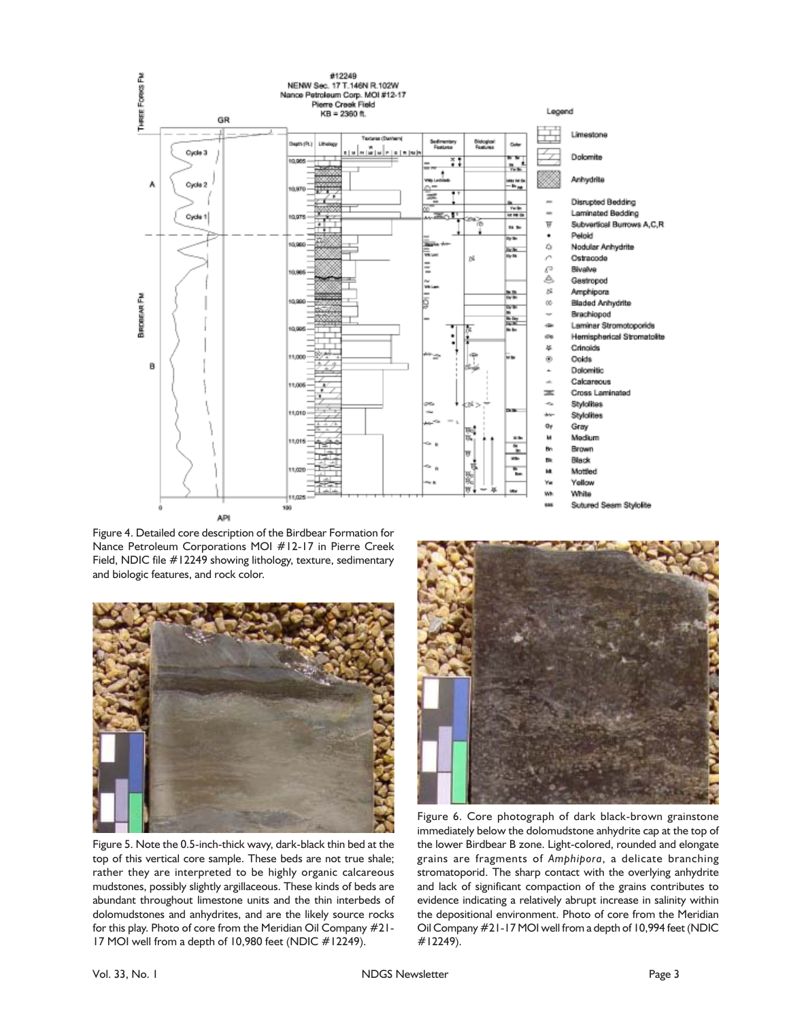

Figure 4. Detailed core description of the Birdbear Formation for Nance Petroleum Corporations MOI #12-17 in Pierre Creek Field, NDIC file #12249 showing lithology, texture, sedimentary and biologic features, and rock color.



Figure 5. Note the 0.5-inch-thick wavy, dark-black thin bed at the top of this vertical core sample. These beds are not true shale; rather they are interpreted to be highly organic calcareous mudstones, possibly slightly argillaceous. These kinds of beds are abundant throughout limestone units and the thin interbeds of dolomudstones and anhydrites, and are the likely source rocks for this play. Photo of core from the Meridian Oil Company #21- 17 MOI well from a depth of 10,980 feet (NDIC #12249).



Figure 6. Core photograph of dark black-brown grainstone immediately below the dolomudstone anhydrite cap at the top of the lower Birdbear B zone. Light-colored, rounded and elongate grains are fragments of *Amphipora*, a delicate branching stromatoporid. The sharp contact with the overlying anhydrite and lack of significant compaction of the grains contributes to evidence indicating a relatively abrupt increase in salinity within the depositional environment. Photo of core from the Meridian Oil Company #21-17 MOI well from a depth of 10,994 feet (NDIC #12249).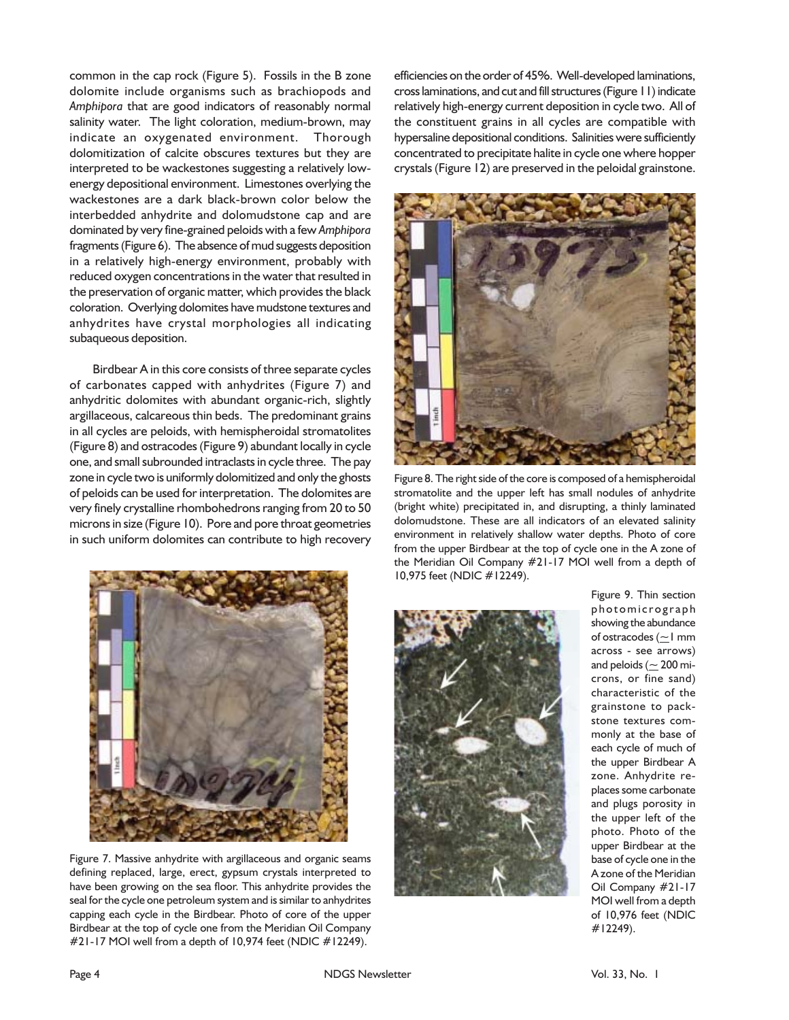common in the cap rock (Figure 5). Fossils in the B zone dolomite include organisms such as brachiopods and *Amphipora* that are good indicators of reasonably normal salinity water. The light coloration, medium-brown, may indicate an oxygenated environment. Thorough dolomitization of calcite obscures textures but they are interpreted to be wackestones suggesting a relatively lowenergy depositional environment. Limestones overlying the wackestones are a dark black-brown color below the interbedded anhydrite and dolomudstone cap and are dominated by very fine-grained peloids with a few *Amphipora* fragments (Figure 6). The absence of mud suggests deposition in a relatively high-energy environment, probably with reduced oxygen concentrations in the water that resulted in the preservation of organic matter, which provides the black coloration. Overlying dolomites have mudstone textures and anhydrites have crystal morphologies all indicating subaqueous deposition.

Birdbear A in this core consists of three separate cycles of carbonates capped with anhydrites (Figure 7) and anhydritic dolomites with abundant organic-rich, slightly argillaceous, calcareous thin beds. The predominant grains in all cycles are peloids, with hemispheroidal stromatolites (Figure 8) and ostracodes (Figure 9) abundant locally in cycle one, and small subrounded intraclasts in cycle three. The pay zone in cycle two is uniformly dolomitized and only the ghosts of peloids can be used for interpretation. The dolomites are very finely crystalline rhombohedrons ranging from 20 to 50 microns in size (Figure 10). Pore and pore throat geometries in such uniform dolomites can contribute to high recovery



Figure 7. Massive anhydrite with argillaceous and organic seams defining replaced, large, erect, gypsum crystals interpreted to have been growing on the sea floor. This anhydrite provides the seal for the cycle one petroleum system and is similar to anhydrites capping each cycle in the Birdbear. Photo of core of the upper Birdbear at the top of cycle one from the Meridian Oil Company #21-17 MOI well from a depth of 10,974 feet (NDIC #12249).

efficiencies on the order of 45%. Well-developed laminations, cross laminations, and cut and fill structures (Figure 11) indicate relatively high-energy current deposition in cycle two. All of the constituent grains in all cycles are compatible with hypersaline depositional conditions. Salinities were sufficiently concentrated to precipitate halite in cycle one where hopper crystals (Figure 12) are preserved in the peloidal grainstone.



Figure 8. The right side of the core is composed of a hemispheroidal stromatolite and the upper left has small nodules of anhydrite (bright white) precipitated in, and disrupting, a thinly laminated dolomudstone. These are all indicators of an elevated salinity environment in relatively shallow water depths. Photo of core from the upper Birdbear at the top of cycle one in the A zone of the Meridian Oil Company #21-17 MOI well from a depth of 10,975 feet (NDIC #12249).



Figure 9. Thin section photomicrograph showing the abundance of ostracodes ( $\geq$ 1 mm across - see arrows) and peloids ( $\simeq$  200 microns, or fine sand) characteristic of the grainstone to packstone textures commonly at the base of each cycle of much of the upper Birdbear A zone. Anhydrite replaces some carbonate and plugs porosity in the upper left of the photo. Photo of the upper Birdbear at the base of cycle one in the A zone of the Meridian Oil Company #21-17 MOI well from a depth of 10,976 feet (NDIC #12249).